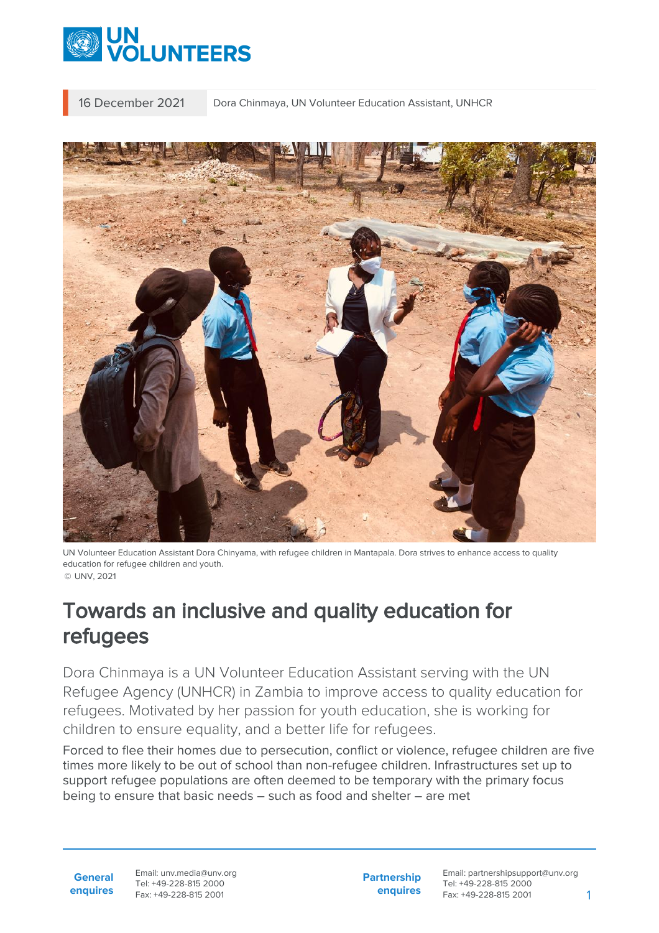

16 December 2021 Dora Chinmaya, UN Volunteer Education Assistant, UNHCR



UN Volunteer Education Assistant Dora Chinyama, with refugee children in Mantapala. Dora strives to enhance access to quality education for refugee children and youth. © UNV, 2021

## Towards an inclusive and quality education for refugees

Dora Chinmaya is a UN Volunteer Education Assistant serving with the UN Refugee Agency (UNHCR) in Zambia to improve access to quality education for refugees. Motivated by her passion for youth education, she is working for children to ensure equality, and a better life for refugees.

Forced to flee their homes due to persecution, conflict or violence, refugee children are five times more likely to be out of school than non-refugee children. Infrastructures set up to support refugee populations are often deemed to be temporary with the primary focus being to ensure that basic needs – such as food and shelter – are met

**General enquires** Email: unv.media@unv.org Tel: +49-228-815 2000 Fax: +49-228-815 2001

**Partnership enquires** Email: partnershipsupport@unv.org Tel: +49-228-815 2000 Fax: +49-228-815 2001 1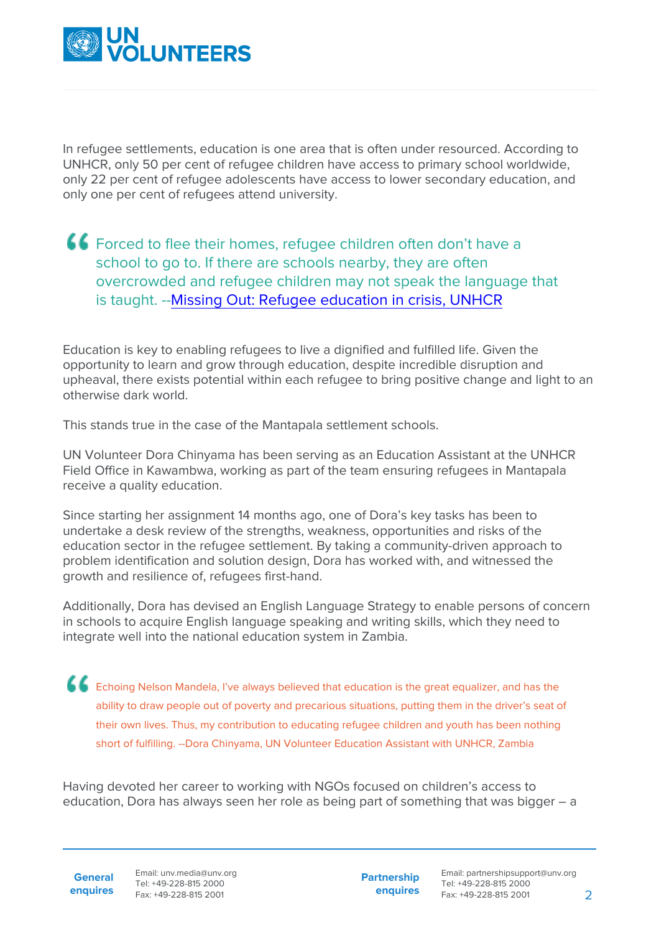

In refugee settlements, education is one area that is often under resourced. According to UNHCR, only 50 per cent of refugee children have access to primary school worldwide, only 22 per cent of refugee adolescents have access to lower secondary education, and only one per cent of refugees attend university.

## Forced to flee their homes, refugee children often don't have a school to go to. If there are schools nearby, they are often overcrowded and refugee children may not speak the language that is taught. -- [Missing Out: Refugee education in crisis, UNHCR](https://www.unhcr.org/missing-out-state-of-education-for-the-worlds-refugees.html)

Education is key to enabling refugees to live a dignified and fulfilled life. Given the opportunity to learn and grow through education, despite incredible disruption and upheaval, there exists potential within each refugee to bring positive change and light to an otherwise dark world.

This stands true in the case of the Mantapala settlement schools.

UN Volunteer Dora Chinyama has been serving as an Education Assistant at the UNHCR Field Office in Kawambwa, working as part of the team ensuring refugees in Mantapala receive a quality education.

Since starting her assignment 14 months ago, one of Dora's key tasks has been to undertake a desk review of the strengths, weakness, opportunities and risks of the education sector in the refugee settlement. By taking a community-driven approach to problem identification and solution design, Dora has worked with, and witnessed the growth and resilience of, refugees first-hand.

Additionally, Dora has devised an English Language Strategy to enable persons of concern in schools to acquire English language speaking and writing skills, which they need to integrate well into the national education system in Zambia.

**Echoing Nelson Mandela, I've always believed that education is the great equalizer, and has the** ability to draw people out of poverty and precarious situations, putting them in the driver's seat of their own lives. Thus, my contribution to educating refugee children and youth has been nothing short of fulfilling. --Dora Chinyama, UN Volunteer Education Assistant with UNHCR, Zambia

Having devoted her career to working with NGOs focused on children's access to education, Dora has always seen her role as being part of something that was bigger – a

**General**

**enquires** Fax: +49-228-815 2001 Email: unv.media@unv.org Tel: +49-228-815 2000

**Partnership enquires**

Email: partnershipsupport@unv.org Tel: +49-228-815 2000 Fax: +49-228-815 2001 2